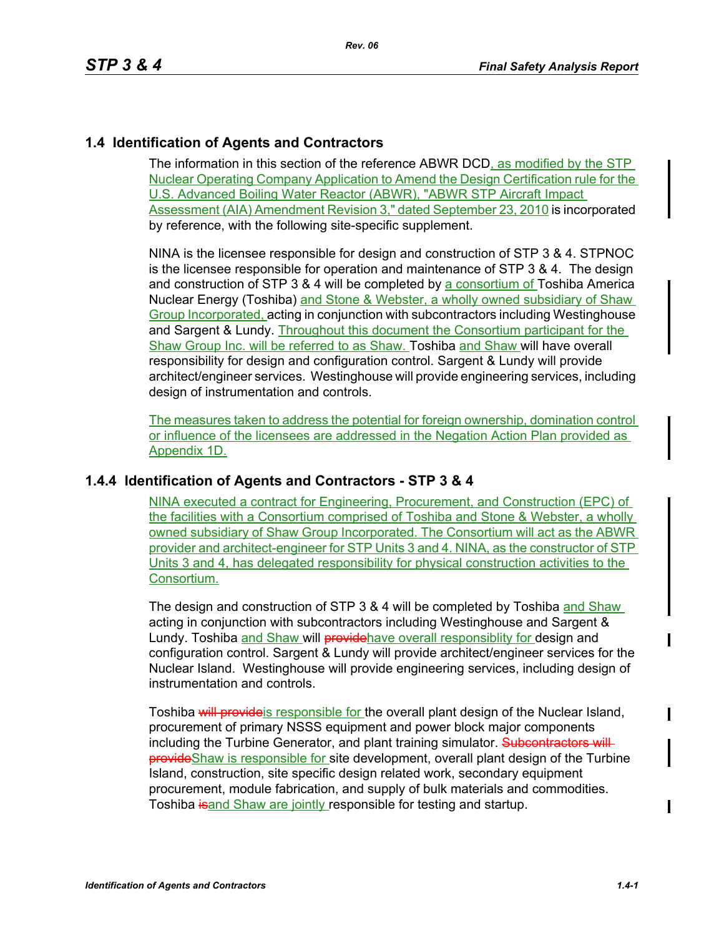#### **1.4 Identification of Agents and Contractors**

The information in this section of the reference ABWR DCD, as modified by the STP Nuclear Operating Company Application to Amend the Design Certification rule for the U.S. Advanced Boiling Water Reactor (ABWR), "ABWR STP Aircraft Impact Assessment (AIA) Amendment Revision 3," dated September 23, 2010 is incorporated by reference, with the following site-specific supplement.

NINA is the licensee responsible for design and construction of STP 3 & 4. STPNOC is the licensee responsible for operation and maintenance of STP 3 & 4. The design and construction of STP 3 & 4 will be completed by a consortium of Toshiba America Nuclear Energy (Toshiba) and Stone & Webster, a wholly owned subsidiary of Shaw Group Incorporated, acting in conjunction with subcontractors including Westinghouse and Sargent & Lundy. Throughout this document the Consortium participant for the Shaw Group Inc. will be referred to as Shaw. Toshiba and Shaw will have overall responsibility for design and configuration control. Sargent & Lundy will provide architect/engineer services. Westinghouse will provide engineering services, including design of instrumentation and controls.

The measures taken to address the potential for foreign ownership, domination control or influence of the licensees are addressed in the Negation Action Plan provided as Appendix 1D.

#### **1.4.4 Identification of Agents and Contractors - STP 3 & 4**

NINA executed a contract for Engineering, Procurement, and Construction (EPC) of the facilities with a Consortium comprised of Toshiba and Stone & Webster, a wholly owned subsidiary of Shaw Group Incorporated. The Consortium will act as the ABWR provider and architect-engineer for STP Units 3 and 4. NINA, as the constructor of STP Units 3 and 4, has delegated responsibility for physical construction activities to the Consortium.

The design and construction of STP 3 & 4 will be completed by Toshiba and Shaw acting in conjunction with subcontractors including Westinghouse and Sargent & Lundy. Toshiba and Shaw will providehave overall responsiblity for design and configuration control. Sargent & Lundy will provide architect/engineer services for the Nuclear Island. Westinghouse will provide engineering services, including design of instrumentation and controls.

Toshiba will provide is responsible for the overall plant design of the Nuclear Island, procurement of primary NSSS equipment and power block major components including the Turbine Generator, and plant training simulator. Subcontractors will **provide**Shaw is responsible for site development, overall plant design of the Turbine Island, construction, site specific design related work, secondary equipment procurement, module fabrication, and supply of bulk materials and commodities. Toshiba isand Shaw are jointly responsible for testing and startup.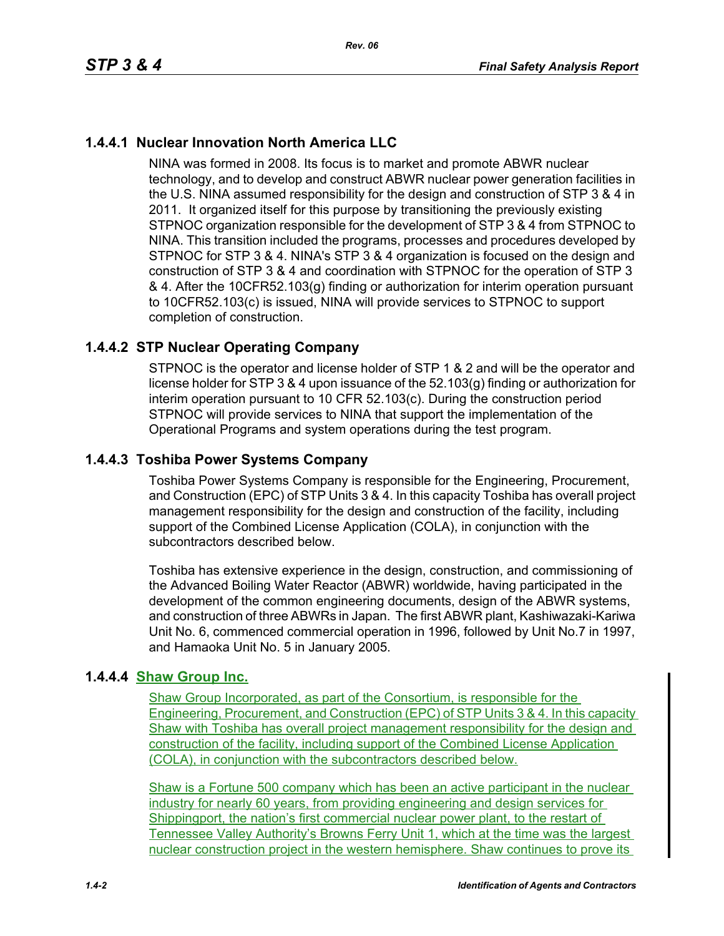# **1.4.4.1 Nuclear Innovation North America LLC**

NINA was formed in 2008. Its focus is to market and promote ABWR nuclear technology, and to develop and construct ABWR nuclear power generation facilities in the U.S. NINA assumed responsibility for the design and construction of STP 3 & 4 in 2011. It organized itself for this purpose by transitioning the previously existing STPNOC organization responsible for the development of STP 3 & 4 from STPNOC to NINA. This transition included the programs, processes and procedures developed by STPNOC for STP 3 & 4. NINA's STP 3 & 4 organization is focused on the design and construction of STP 3 & 4 and coordination with STPNOC for the operation of STP 3 & 4. After the 10CFR52.103(g) finding or authorization for interim operation pursuant to 10CFR52.103(c) is issued, NINA will provide services to STPNOC to support completion of construction.

## **1.4.4.2 STP Nuclear Operating Company**

STPNOC is the operator and license holder of STP 1 & 2 and will be the operator and license holder for STP 3 & 4 upon issuance of the 52.103(g) finding or authorization for interim operation pursuant to 10 CFR 52.103(c). During the construction period STPNOC will provide services to NINA that support the implementation of the Operational Programs and system operations during the test program.

## **1.4.4.3 Toshiba Power Systems Company**

Toshiba Power Systems Company is responsible for the Engineering, Procurement, and Construction (EPC) of STP Units 3 & 4. In this capacity Toshiba has overall project management responsibility for the design and construction of the facility, including support of the Combined License Application (COLA), in conjunction with the subcontractors described below.

Toshiba has extensive experience in the design, construction, and commissioning of the Advanced Boiling Water Reactor (ABWR) worldwide, having participated in the development of the common engineering documents, design of the ABWR systems, and construction of three ABWRs in Japan. The first ABWR plant, Kashiwazaki-Kariwa Unit No. 6, commenced commercial operation in 1996, followed by Unit No.7 in 1997, and Hamaoka Unit No. 5 in January 2005.

## **1.4.4.4 Shaw Group Inc.**

Shaw Group Incorporated, as part of the Consortium, is responsible for the Engineering, Procurement, and Construction (EPC) of STP Units 3 & 4. In this capacity Shaw with Toshiba has overall project management responsibility for the design and construction of the facility, including support of the Combined License Application (COLA), in conjunction with the subcontractors described below.

Shaw is a Fortune 500 company which has been an active participant in the nuclear industry for nearly 60 years, from providing engineering and design services for Shippingport, the nation's first commercial nuclear power plant, to the restart of Tennessee Valley Authority's Browns Ferry Unit 1, which at the time was the largest nuclear construction project in the western hemisphere. Shaw continues to prove its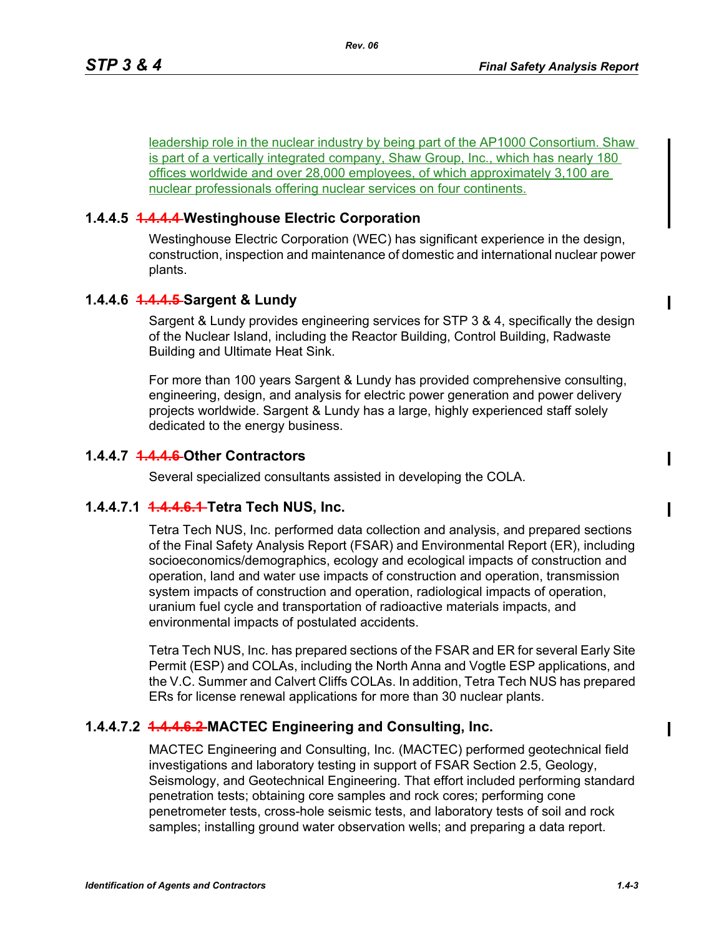leadership role in the nuclear industry by being part of the AP1000 Consortium. Shaw is part of a vertically integrated company, Shaw Group, Inc., which has nearly 180 offices worldwide and over 28,000 employees, of which approximately 3,100 are nuclear professionals offering nuclear services on four continents.

#### **1.4.4.5 1.4.4.4 Westinghouse Electric Corporation**

Westinghouse Electric Corporation (WEC) has significant experience in the design, construction, inspection and maintenance of domestic and international nuclear power plants.

### **1.4.4.6 1.4.4.5 Sargent & Lundy**

Sargent & Lundy provides engineering services for STP 3 & 4, specifically the design of the Nuclear Island, including the Reactor Building, Control Building, Radwaste Building and Ultimate Heat Sink.

For more than 100 years Sargent & Lundy has provided comprehensive consulting, engineering, design, and analysis for electric power generation and power delivery projects worldwide. Sargent & Lundy has a large, highly experienced staff solely dedicated to the energy business.

### **1.4.4.7 1.4.4.6 Other Contractors**

Several specialized consultants assisted in developing the COLA.

#### **1.4.4.7.1 1.4.4.6.1 Tetra Tech NUS, Inc.**

Tetra Tech NUS, Inc. performed data collection and analysis, and prepared sections of the Final Safety Analysis Report (FSAR) and Environmental Report (ER), including socioeconomics/demographics, ecology and ecological impacts of construction and operation, land and water use impacts of construction and operation, transmission system impacts of construction and operation, radiological impacts of operation, uranium fuel cycle and transportation of radioactive materials impacts, and environmental impacts of postulated accidents.

Tetra Tech NUS, Inc. has prepared sections of the FSAR and ER for several Early Site Permit (ESP) and COLAs, including the North Anna and Vogtle ESP applications, and the V.C. Summer and Calvert Cliffs COLAs. In addition, Tetra Tech NUS has prepared ERs for license renewal applications for more than 30 nuclear plants.

## **1.4.4.7.2 1.4.4.6.2 MACTEC Engineering and Consulting, Inc.**

MACTEC Engineering and Consulting, Inc. (MACTEC) performed geotechnical field investigations and laboratory testing in support of FSAR Section 2.5, Geology, Seismology, and Geotechnical Engineering. That effort included performing standard penetration tests; obtaining core samples and rock cores; performing cone penetrometer tests, cross-hole seismic tests, and laboratory tests of soil and rock samples; installing ground water observation wells; and preparing a data report.